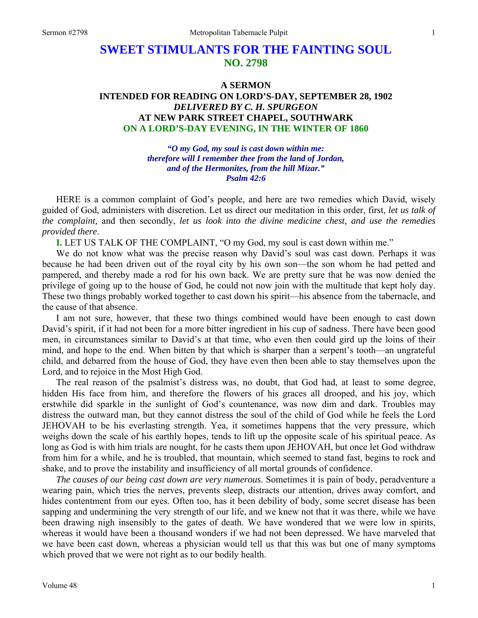# **SWEET STIMULANTS FOR THE FAINTING SOUL NO. 2798**

# **A SERMON INTENDED FOR READING ON LORD'S-DAY, SEPTEMBER 28, 1902**  *DELIVERED BY C. H. SPURGEON*  **AT NEW PARK STREET CHAPEL, SOUTHWARK ON A LORD'S-DAY EVENING, IN THE WINTER OF 1860**

*"O my God, my soul is cast down within me: therefore will I remember thee from the land of Jordan, and of the Hermonites, from the hill Mizar." Psalm 42:6* 

HERE is a common complaint of God's people, and here are two remedies which David, wisely guided of God, administers with discretion. Let us direct our meditation in this order, first, *let us talk of the complaint,* and then secondly, *let us look into the divine medicine chest, and use the remedies provided there*.

**I.** LET US TALK OF THE COMPLAINT, "O my God, my soul is cast down within me."

We do not know what was the precise reason why David's soul was cast down. Perhaps it was because he had been driven out of the royal city by his own son—the son whom he had petted and pampered, and thereby made a rod for his own back. We are pretty sure that he was now denied the privilege of going up to the house of God, he could not now join with the multitude that kept holy day. These two things probably worked together to cast down his spirit—his absence from the tabernacle, and the cause of that absence.

I am not sure, however, that these two things combined would have been enough to cast down David's spirit, if it had not been for a more bitter ingredient in his cup of sadness. There have been good men, in circumstances similar to David's at that time, who even then could gird up the loins of their mind, and hope to the end. When bitten by that which is sharper than a serpent's tooth—an ungrateful child, and debarred from the house of God, they have even then been able to stay themselves upon the Lord, and to rejoice in the Most High God.

The real reason of the psalmist's distress was, no doubt, that God had, at least to some degree, hidden His face from him, and therefore the flowers of his graces all drooped, and his joy, which erstwhile did sparkle in the sunlight of God's countenance, was now dim and dark. Troubles may distress the outward man, but they cannot distress the soul of the child of God while he feels the Lord JEHOVAH to be his everlasting strength. Yea, it sometimes happens that the very pressure, which weighs down the scale of his earthly hopes, tends to lift up the opposite scale of his spiritual peace. As long as God is with him trials are nought, for he casts them upon JEHOVAH, but once let God withdraw from him for a while, and he is troubled, that mountain, which seemed to stand fast, begins to rock and shake, and to prove the instability and insufficiency of all mortal grounds of confidence.

*The causes of our being cast down are very numerous*. Sometimes it is pain of body, peradventure a wearing pain, which tries the nerves, prevents sleep, distracts our attention, drives away comfort, and hides contentment from our eyes. Often too, has it been debility of body, some secret disease has been sapping and undermining the very strength of our life, and we knew not that it was there, while we have been drawing nigh insensibly to the gates of death. We have wondered that we were low in spirits, whereas it would have been a thousand wonders if we had not been depressed. We have marveled that we have been cast down, whereas a physician would tell us that this was but one of many symptoms which proved that we were not right as to our bodily health.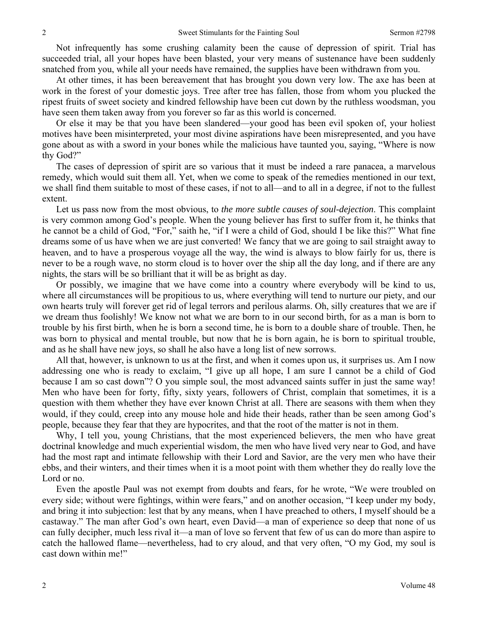Not infrequently has some crushing calamity been the cause of depression of spirit. Trial has succeeded trial, all your hopes have been blasted, your very means of sustenance have been suddenly snatched from you, while all your needs have remained, the supplies have been withdrawn from you.

At other times, it has been bereavement that has brought you down very low. The axe has been at work in the forest of your domestic joys. Tree after tree has fallen, those from whom you plucked the ripest fruits of sweet society and kindred fellowship have been cut down by the ruthless woodsman, you have seen them taken away from you forever so far as this world is concerned.

Or else it may be that you have been slandered—your good has been evil spoken of, your holiest motives have been misinterpreted, your most divine aspirations have been misrepresented, and you have gone about as with a sword in your bones while the malicious have taunted you, saying, "Where is now thy God?"

The cases of depression of spirit are so various that it must be indeed a rare panacea, a marvelous remedy, which would suit them all. Yet, when we come to speak of the remedies mentioned in our text, we shall find them suitable to most of these cases, if not to all—and to all in a degree, if not to the fullest extent.

Let us pass now from the most obvious, to *the more subtle causes of soul-dejection*. This complaint is very common among God's people. When the young believer has first to suffer from it, he thinks that he cannot be a child of God, "For," saith he, "if I were a child of God, should I be like this?" What fine dreams some of us have when we are just converted! We fancy that we are going to sail straight away to heaven, and to have a prosperous voyage all the way, the wind is always to blow fairly for us, there is never to be a rough wave, no storm cloud is to hover over the ship all the day long, and if there are any nights, the stars will be so brilliant that it will be as bright as day.

Or possibly, we imagine that we have come into a country where everybody will be kind to us, where all circumstances will be propitious to us, where everything will tend to nurture our piety, and our own hearts truly will forever get rid of legal terrors and perilous alarms. Oh, silly creatures that we are if we dream thus foolishly! We know not what we are born to in our second birth, for as a man is born to trouble by his first birth, when he is born a second time, he is born to a double share of trouble. Then, he was born to physical and mental trouble, but now that he is born again, he is born to spiritual trouble, and as he shall have new joys, so shall he also have a long list of new sorrows.

All that, however, is unknown to us at the first, and when it comes upon us, it surprises us. Am I now addressing one who is ready to exclaim, "I give up all hope, I am sure I cannot be a child of God because I am so cast down"? O you simple soul, the most advanced saints suffer in just the same way! Men who have been for forty, fifty, sixty years, followers of Christ, complain that sometimes, it is a question with them whether they have ever known Christ at all. There are seasons with them when they would, if they could, creep into any mouse hole and hide their heads, rather than be seen among God's people, because they fear that they are hypocrites, and that the root of the matter is not in them.

Why, I tell you, young Christians, that the most experienced believers, the men who have great doctrinal knowledge and much experiential wisdom, the men who have lived very near to God, and have had the most rapt and intimate fellowship with their Lord and Savior, are the very men who have their ebbs, and their winters, and their times when it is a moot point with them whether they do really love the Lord or no.

Even the apostle Paul was not exempt from doubts and fears, for he wrote, "We were troubled on every side; without were fightings, within were fears," and on another occasion, "I keep under my body, and bring it into subjection: lest that by any means, when I have preached to others, I myself should be a castaway." The man after God's own heart, even David—a man of experience so deep that none of us can fully decipher, much less rival it—a man of love so fervent that few of us can do more than aspire to catch the hallowed flame—nevertheless, had to cry aloud, and that very often, "O my God, my soul is cast down within me!"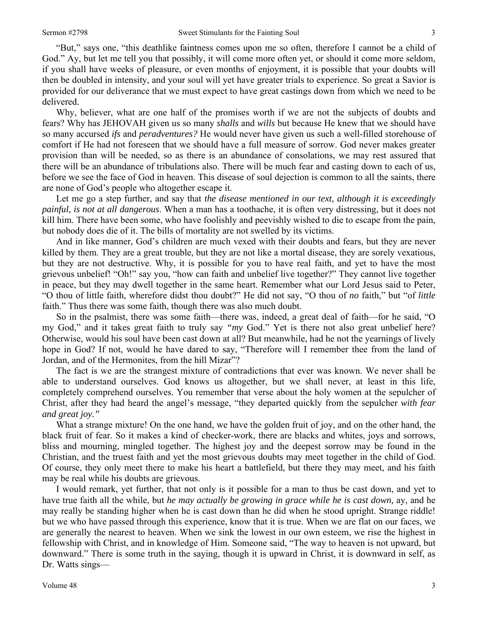"But," says one, "this deathlike faintness comes upon me so often, therefore I cannot be a child of God." Ay, but let me tell you that possibly, it will come more often yet, or should it come more seldom, if you shall have weeks of pleasure, or even months of enjoyment, it is possible that your doubts will then be doubled in intensity, and your soul will yet have greater trials to experience. So great a Savior is provided for our deliverance that we must expect to have great castings down from which we need to be delivered.

Why, believer, what are one half of the promises worth if we are not the subjects of doubts and fears? Why has JEHOVAH given us so many *shalls* and *wills* but because He knew that we should have so many accursed *ifs* and *peradventures?* He would never have given us such a well-filled storehouse of comfort if He had not foreseen that we should have a full measure of sorrow. God never makes greater provision than will be needed, so as there is an abundance of consolations, we may rest assured that there will be an abundance of tribulations also. There will be much fear and casting down to each of us, before we see the face of God in heaven. This disease of soul dejection is common to all the saints, there are none of God's people who altogether escape it.

Let me go a step further, and say that *the disease mentioned in our text, although it is exceedingly painful, is not at all dangerous*. When a man has a toothache, it is often very distressing, but it does not kill him. There have been some, who have foolishly and peevishly wished to die to escape from the pain, but nobody does die of it. The bills of mortality are not swelled by its victims.

And in like manner, God's children are much vexed with their doubts and fears, but they are never killed by them. They are a great trouble, but they are not like a mortal disease, they are sorely vexatious, but they are not destructive. Why, it is possible for you to have real faith, and yet to have the most grievous unbelief! "Oh!" say you, "how can faith and unbelief live together?" They cannot live together in peace, but they may dwell together in the same heart. Remember what our Lord Jesus said to Peter, "O thou of little faith, wherefore didst thou doubt?" He did not say, "O thou of *no* faith," but "of *little* faith." Thus there was some faith, though there was also much doubt.

So in the psalmist, there was some faith—there was, indeed, a great deal of faith—for he said, "O my God," and it takes great faith to truly say *"my* God." Yet is there not also great unbelief here? Otherwise, would his soul have been cast down at all? But meanwhile, had he not the yearnings of lively hope in God? If not, would he have dared to say, "Therefore will I remember thee from the land of Jordan, and of the Hermonites, from the hill Mizar"?

The fact is we are the strangest mixture of contradictions that ever was known. We never shall be able to understand ourselves. God knows us altogether, but we shall never, at least in this life, completely comprehend ourselves. You remember that verse about the holy women at the sepulcher of Christ, after they had heard the angel's message, "they departed quickly from the sepulcher *with fear and great joy."*

What a strange mixture! On the one hand, we have the golden fruit of joy, and on the other hand, the black fruit of fear. So it makes a kind of checker-work, there are blacks and whites, joys and sorrows, bliss and mourning, mingled together. The highest joy and the deepest sorrow may be found in the Christian, and the truest faith and yet the most grievous doubts may meet together in the child of God. Of course, they only meet there to make his heart a battlefield, but there they may meet, and his faith may be real while his doubts are grievous.

I would remark, yet further, that not only is it possible for a man to thus be cast down, and yet to have true faith all the while, but *he may actually be growing in grace while he is cast down,* ay, and he may really be standing higher when he is cast down than he did when he stood upright. Strange riddle! but we who have passed through this experience, know that it is true. When we are flat on our faces, we are generally the nearest to heaven. When we sink the lowest in our own esteem, we rise the highest in fellowship with Christ, and in knowledge of Him. Someone said, "The way to heaven is not upward, but downward." There is some truth in the saying, though it is upward in Christ, it is downward in self, as Dr. Watts sings—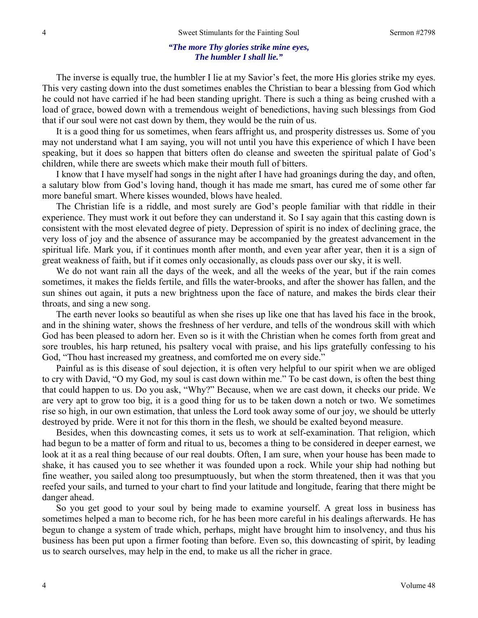#### *"The more Thy glories strike mine eyes, The humbler I shall lie."*

The inverse is equally true, the humbler I lie at my Savior's feet, the more His glories strike my eyes. This very casting down into the dust sometimes enables the Christian to bear a blessing from God which he could not have carried if he had been standing upright. There is such a thing as being crushed with a load of grace, bowed down with a tremendous weight of benedictions, having such blessings from God that if our soul were not cast down by them, they would be the ruin of us.

It is a good thing for us sometimes, when fears affright us, and prosperity distresses us. Some of you may not understand what I am saying, you will not until you have this experience of which I have been speaking, but it does so happen that bitters often do cleanse and sweeten the spiritual palate of God's children, while there are sweets which make their mouth full of bitters.

I know that I have myself had songs in the night after I have had groanings during the day, and often, a salutary blow from God's loving hand, though it has made me smart, has cured me of some other far more baneful smart. Where kisses wounded, blows have healed.

The Christian life is a riddle, and most surely are God's people familiar with that riddle in their experience. They must work it out before they can understand it. So I say again that this casting down is consistent with the most elevated degree of piety. Depression of spirit is no index of declining grace, the very loss of joy and the absence of assurance may be accompanied by the greatest advancement in the spiritual life. Mark you, if it continues month after month, and even year after year, then it is a sign of great weakness of faith, but if it comes only occasionally, as clouds pass over our sky, it is well.

We do not want rain all the days of the week, and all the weeks of the year, but if the rain comes sometimes, it makes the fields fertile, and fills the water-brooks, and after the shower has fallen, and the sun shines out again, it puts a new brightness upon the face of nature, and makes the birds clear their throats, and sing a new song.

The earth never looks so beautiful as when she rises up like one that has laved his face in the brook, and in the shining water, shows the freshness of her verdure, and tells of the wondrous skill with which God has been pleased to adorn her. Even so is it with the Christian when he comes forth from great and sore troubles, his harp retuned, his psaltery vocal with praise, and his lips gratefully confessing to his God, "Thou hast increased my greatness, and comforted me on every side."

Painful as is this disease of soul dejection, it is often very helpful to our spirit when we are obliged to cry with David, "O my God, my soul is cast down within me." To be cast down, is often the best thing that could happen to us. Do you ask, "Why?" Because, when we are cast down, it checks our pride. We are very apt to grow too big, it is a good thing for us to be taken down a notch or two. We sometimes rise so high, in our own estimation, that unless the Lord took away some of our joy, we should be utterly destroyed by pride. Were it not for this thorn in the flesh, we should be exalted beyond measure.

Besides, when this downcasting comes, it sets us to work at self-examination. That religion, which had begun to be a matter of form and ritual to us, becomes a thing to be considered in deeper earnest, we look at it as a real thing because of our real doubts. Often, I am sure, when your house has been made to shake, it has caused you to see whether it was founded upon a rock. While your ship had nothing but fine weather, you sailed along too presumptuously, but when the storm threatened, then it was that you reefed your sails, and turned to your chart to find your latitude and longitude, fearing that there might be danger ahead.

So you get good to your soul by being made to examine yourself. A great loss in business has sometimes helped a man to become rich, for he has been more careful in his dealings afterwards. He has begun to change a system of trade which, perhaps, might have brought him to insolvency, and thus his business has been put upon a firmer footing than before. Even so, this downcasting of spirit, by leading us to search ourselves, may help in the end, to make us all the richer in grace.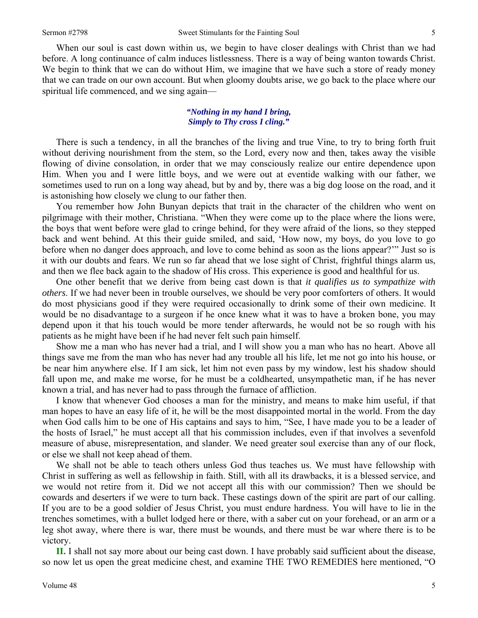When our soul is cast down within us, we begin to have closer dealings with Christ than we had before. A long continuance of calm induces listlessness. There is a way of being wanton towards Christ. We begin to think that we can do without Him, we imagine that we have such a store of ready money that we can trade on our own account. But when gloomy doubts arise, we go back to the place where our spiritual life commenced, and we sing again—

### *"Nothing in my hand I bring, Simply to Thy cross I cling."*

There is such a tendency, in all the branches of the living and true Vine, to try to bring forth fruit without deriving nourishment from the stem, so the Lord, every now and then, takes away the visible flowing of divine consolation, in order that we may consciously realize our entire dependence upon Him. When you and I were little boys, and we were out at eventide walking with our father, we sometimes used to run on a long way ahead, but by and by, there was a big dog loose on the road, and it is astonishing how closely we clung to our father then.

You remember how John Bunyan depicts that trait in the character of the children who went on pilgrimage with their mother, Christiana. "When they were come up to the place where the lions were, the boys that went before were glad to cringe behind, for they were afraid of the lions, so they stepped back and went behind. At this their guide smiled, and said, 'How now, my boys, do you love to go before when no danger does approach, and love to come behind as soon as the lions appear?'" Just so is it with our doubts and fears. We run so far ahead that we lose sight of Christ, frightful things alarm us, and then we flee back again to the shadow of His cross. This experience is good and healthful for us.

One other benefit that we derive from being cast down is that *it qualifies us to sympathize with others*. If we had never been in trouble ourselves, we should be very poor comforters of others. It would do most physicians good if they were required occasionally to drink some of their own medicine. It would be no disadvantage to a surgeon if he once knew what it was to have a broken bone, you may depend upon it that his touch would be more tender afterwards, he would not be so rough with his patients as he might have been if he had never felt such pain himself.

Show me a man who has never had a trial, and I will show you a man who has no heart. Above all things save me from the man who has never had any trouble all his life, let me not go into his house, or be near him anywhere else. If I am sick, let him not even pass by my window, lest his shadow should fall upon me, and make me worse, for he must be a coldhearted, unsympathetic man, if he has never known a trial, and has never had to pass through the furnace of affliction.

I know that whenever God chooses a man for the ministry, and means to make him useful, if that man hopes to have an easy life of it, he will be the most disappointed mortal in the world. From the day when God calls him to be one of His captains and says to him, "See, I have made you to be a leader of the hosts of Israel," he must accept all that his commission includes, even if that involves a sevenfold measure of abuse, misrepresentation, and slander. We need greater soul exercise than any of our flock, or else we shall not keep ahead of them.

We shall not be able to teach others unless God thus teaches us. We must have fellowship with Christ in suffering as well as fellowship in faith. Still, with all its drawbacks, it is a blessed service, and we would not retire from it. Did we not accept all this with our commission? Then we should be cowards and deserters if we were to turn back. These castings down of the spirit are part of our calling. If you are to be a good soldier of Jesus Christ, you must endure hardness. You will have to lie in the trenches sometimes, with a bullet lodged here or there, with a saber cut on your forehead, or an arm or a leg shot away, where there is war, there must be wounds, and there must be war where there is to be victory.

**II.** I shall not say more about our being cast down. I have probably said sufficient about the disease, so now let us open the great medicine chest, and examine THE TWO REMEDIES here mentioned, "O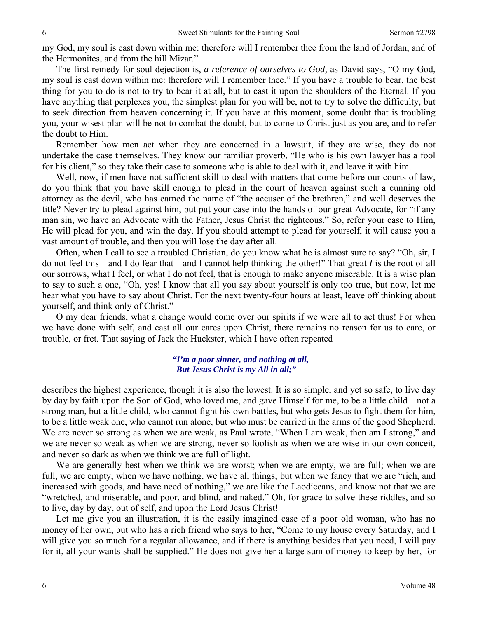my God, my soul is cast down within me: therefore will I remember thee from the land of Jordan, and of the Hermonites, and from the hill Mizar."

The first remedy for soul dejection is, *a reference of ourselves to God,* as David says, "O my God, my soul is cast down within me: therefore will I remember thee." If you have a trouble to bear, the best thing for you to do is not to try to bear it at all, but to cast it upon the shoulders of the Eternal. If you have anything that perplexes you, the simplest plan for you will be, not to try to solve the difficulty, but to seek direction from heaven concerning it. If you have at this moment, some doubt that is troubling you, your wisest plan will be not to combat the doubt, but to come to Christ just as you are, and to refer the doubt to Him.

Remember how men act when they are concerned in a lawsuit, if they are wise, they do not undertake the case themselves. They know our familiar proverb, "He who is his own lawyer has a fool for his client," so they take their case to someone who is able to deal with it, and leave it with him.

Well, now, if men have not sufficient skill to deal with matters that come before our courts of law, do you think that you have skill enough to plead in the court of heaven against such a cunning old attorney as the devil, who has earned the name of "the accuser of the brethren," and well deserves the title? Never try to plead against him, but put your case into the hands of our great Advocate, for "if any man sin, we have an Advocate with the Father, Jesus Christ the righteous." So, refer your case to Him, He will plead for you, and win the day. If you should attempt to plead for yourself, it will cause you a vast amount of trouble, and then you will lose the day after all.

Often, when I call to see a troubled Christian, do you know what he is almost sure to say? "Oh, sir, I do not feel this—and I do fear that—and I cannot help thinking the other!" That great *I* is the root of all our sorrows, what I feel, or what I do not feel, that is enough to make anyone miserable. It is a wise plan to say to such a one, "Oh, yes! I know that all you say about yourself is only too true, but now, let me hear what you have to say about Christ. For the next twenty-four hours at least, leave off thinking about yourself, and think only of Christ."

O my dear friends, what a change would come over our spirits if we were all to act thus! For when we have done with self, and cast all our cares upon Christ, there remains no reason for us to care, or trouble, or fret. That saying of Jack the Huckster, which I have often repeated—

### *"I'm a poor sinner, and nothing at all, But Jesus Christ is my All in all;"—*

describes the highest experience, though it is also the lowest. It is so simple, and yet so safe, to live day by day by faith upon the Son of God, who loved me, and gave Himself for me, to be a little child—not a strong man, but a little child, who cannot fight his own battles, but who gets Jesus to fight them for him, to be a little weak one, who cannot run alone, but who must be carried in the arms of the good Shepherd. We are never so strong as when we are weak, as Paul wrote, "When I am weak, then am I strong," and we are never so weak as when we are strong, never so foolish as when we are wise in our own conceit, and never so dark as when we think we are full of light.

We are generally best when we think we are worst; when we are empty, we are full; when we are full, we are empty; when we have nothing, we have all things; but when we fancy that we are "rich, and increased with goods, and have need of nothing," we are like the Laodiceans, and know not that we are "wretched, and miserable, and poor, and blind, and naked." Oh, for grace to solve these riddles, and so to live, day by day, out of self, and upon the Lord Jesus Christ!

Let me give you an illustration, it is the easily imagined case of a poor old woman, who has no money of her own, but who has a rich friend who says to her, "Come to my house every Saturday, and I will give you so much for a regular allowance, and if there is anything besides that you need, I will pay for it, all your wants shall be supplied." He does not give her a large sum of money to keep by her, for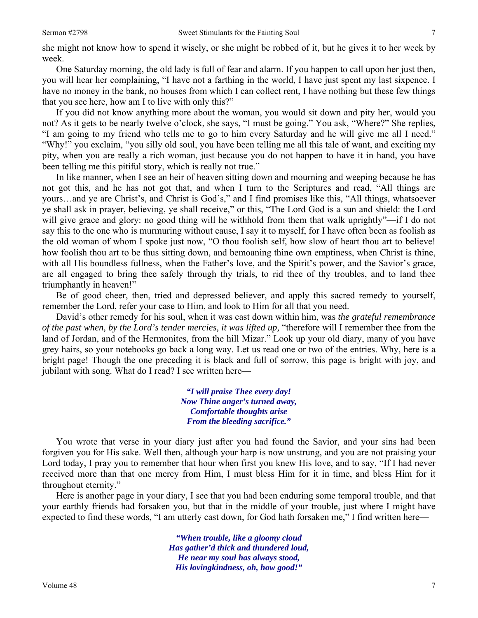she might not know how to spend it wisely, or she might be robbed of it, but he gives it to her week by week.

One Saturday morning, the old lady is full of fear and alarm. If you happen to call upon her just then, you will hear her complaining, "I have not a farthing in the world, I have just spent my last sixpence. I have no money in the bank, no houses from which I can collect rent, I have nothing but these few things that you see here, how am I to live with only this?"

If you did not know anything more about the woman, you would sit down and pity her, would you not? As it gets to be nearly twelve o'clock, she says, "I must be going." You ask, "Where?" She replies, "I am going to my friend who tells me to go to him every Saturday and he will give me all I need." "Why!" you exclaim, "you silly old soul, you have been telling me all this tale of want, and exciting my pity, when you are really a rich woman, just because you do not happen to have it in hand, you have been telling me this pitiful story, which is really not true."

In like manner, when I see an heir of heaven sitting down and mourning and weeping because he has not got this, and he has not got that, and when I turn to the Scriptures and read, "All things are yours…and ye are Christ's, and Christ is God's," and I find promises like this, "All things, whatsoever ye shall ask in prayer, believing, ye shall receive," or this, "The Lord God is a sun and shield: the Lord will give grace and glory: no good thing will he withhold from them that walk uprightly"—if I do not say this to the one who is murmuring without cause, I say it to myself, for I have often been as foolish as the old woman of whom I spoke just now, "O thou foolish self, how slow of heart thou art to believe! how foolish thou art to be thus sitting down, and bemoaning thine own emptiness, when Christ is thine, with all His boundless fullness, when the Father's love, and the Spirit's power, and the Savior's grace, are all engaged to bring thee safely through thy trials, to rid thee of thy troubles, and to land thee triumphantly in heaven!"

Be of good cheer, then, tried and depressed believer, and apply this sacred remedy to yourself, remember the Lord, refer your case to Him, and look to Him for all that you need.

David's other remedy for his soul, when it was cast down within him, was *the grateful remembrance of the past when, by the Lord's tender mercies, it was lifted up,* "therefore will I remember thee from the land of Jordan, and of the Hermonites, from the hill Mizar." Look up your old diary, many of you have grey hairs, so your notebooks go back a long way. Let us read one or two of the entries. Why, here is a bright page! Though the one preceding it is black and full of sorrow, this page is bright with joy, and jubilant with song. What do I read? I see written here—

> *"I will praise Thee every day! Now Thine anger's turned away, Comfortable thoughts arise From the bleeding sacrifice."*

You wrote that verse in your diary just after you had found the Savior, and your sins had been forgiven you for His sake. Well then, although your harp is now unstrung, and you are not praising your Lord today, I pray you to remember that hour when first you knew His love, and to say, "If I had never received more than that one mercy from Him, I must bless Him for it in time, and bless Him for it throughout eternity."

Here is another page in your diary, I see that you had been enduring some temporal trouble, and that your earthly friends had forsaken you, but that in the middle of your trouble, just where I might have expected to find these words, "I am utterly cast down, for God hath forsaken me," I find written here—

> *"When trouble, like a gloomy cloud Has gather'd thick and thundered loud, He near my soul has always stood, His lovingkindness, oh, how good!"*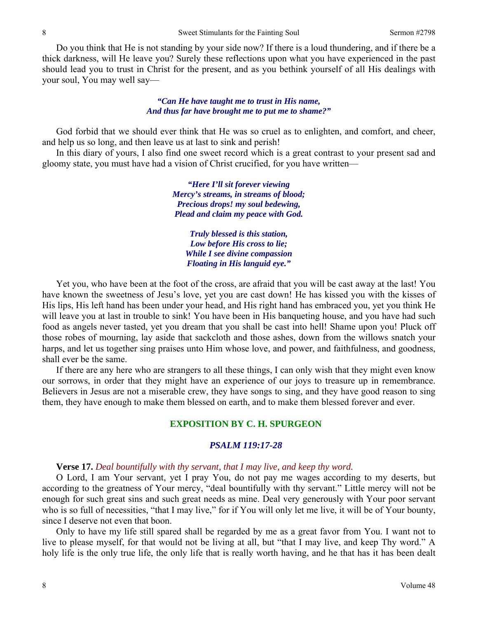Do you think that He is not standing by your side now? If there is a loud thundering, and if there be a thick darkness, will He leave you? Surely these reflections upon what you have experienced in the past should lead you to trust in Christ for the present, and as you bethink yourself of all His dealings with your soul, You may well say—

### *"Can He have taught me to trust in His name, And thus far have brought me to put me to shame?"*

God forbid that we should ever think that He was so cruel as to enlighten, and comfort, and cheer, and help us so long, and then leave us at last to sink and perish!

In this diary of yours, I also find one sweet record which is a great contrast to your present sad and gloomy state, you must have had a vision of Christ crucified, for you have written—

> *"Here I'll sit forever viewing Mercy's streams, in streams of blood; Precious drops! my soul bedewing, Plead and claim my peace with God.*

> > *Truly blessed is this station, Low before His cross to lie; While I see divine compassion Floating in His languid eye."*

Yet you, who have been at the foot of the cross, are afraid that you will be cast away at the last! You have known the sweetness of Jesu's love, yet you are cast down! He has kissed you with the kisses of His lips, His left hand has been under your head, and His right hand has embraced you, yet you think He will leave you at last in trouble to sink! You have been in His banqueting house, and you have had such food as angels never tasted, yet you dream that you shall be cast into hell! Shame upon you! Pluck off those robes of mourning, lay aside that sackcloth and those ashes, down from the willows snatch your harps, and let us together sing praises unto Him whose love, and power, and faithfulness, and goodness, shall ever be the same.

If there are any here who are strangers to all these things, I can only wish that they might even know our sorrows, in order that they might have an experience of our joys to treasure up in remembrance. Believers in Jesus are not a miserable crew, they have songs to sing, and they have good reason to sing them, they have enough to make them blessed on earth, and to make them blessed forever and ever.

# **EXPOSITION BY C. H. SPURGEON**

#### *PSALM 119:17-28*

#### **Verse 17.** *Deal bountifully with thy servant, that I may live, and keep thy word.*

O Lord, I am Your servant, yet I pray You, do not pay me wages according to my deserts, but according to the greatness of Your mercy, "deal bountifully with thy servant." Little mercy will not be enough for such great sins and such great needs as mine. Deal very generously with Your poor servant who is so full of necessities, "that I may live," for if You will only let me live, it will be of Your bounty, since I deserve not even that boon.

Only to have my life still spared shall be regarded by me as a great favor from You. I want not to live to please myself, for that would not be living at all, but "that I may live, and keep Thy word." A holy life is the only true life, the only life that is really worth having, and he that has it has been dealt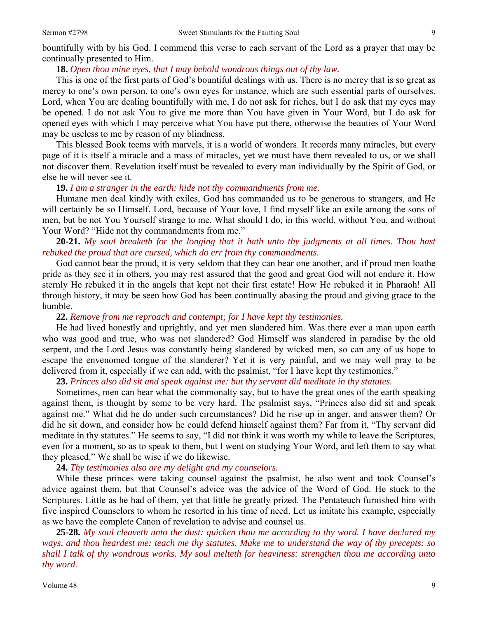bountifully with by his God. I commend this verse to each servant of the Lord as a prayer that may be continually presented to Him.

# **18.** *Open thou mine eyes, that I may behold wondrous things out of thy law.*

This is one of the first parts of God's bountiful dealings with us. There is no mercy that is so great as mercy to one's own person, to one's own eyes for instance, which are such essential parts of ourselves. Lord, when You are dealing bountifully with me, I do not ask for riches, but I do ask that my eyes may be opened. I do not ask You to give me more than You have given in Your Word, but I do ask for opened eyes with which I may perceive what You have put there, otherwise the beauties of Your Word may be useless to me by reason of my blindness.

This blessed Book teems with marvels, it is a world of wonders. It records many miracles, but every page of it is itself a miracle and a mass of miracles, yet we must have them revealed to us, or we shall not discover them. Revelation itself must be revealed to every man individually by the Spirit of God, or else he will never see it.

### **19.** *I am a stranger in the earth: hide not thy commandments from me.*

Humane men deal kindly with exiles, God has commanded us to be generous to strangers, and He will certainly be so Himself. Lord, because of Your love, I find myself like an exile among the sons of men, but be not You Yourself strange to me. What should I do, in this world, without You, and without Your Word? "Hide not thy commandments from me."

# **20-21.** *My soul breaketh for the longing that it hath unto thy judgments at all times. Thou hast rebuked the proud that are cursed, which do err from thy commandments.*

God cannot bear the proud, it is very seldom that they can bear one another, and if proud men loathe pride as they see it in others, you may rest assured that the good and great God will not endure it. How sternly He rebuked it in the angels that kept not their first estate! How He rebuked it in Pharaoh! All through history, it may be seen how God has been continually abasing the proud and giving grace to the humble.

# **22.** *Remove from me reproach and contempt; for I have kept thy testimonies.*

He had lived honestly and uprightly, and yet men slandered him. Was there ever a man upon earth who was good and true, who was not slandered? God Himself was slandered in paradise by the old serpent, and the Lord Jesus was constantly being slandered by wicked men, so can any of us hope to escape the envenomed tongue of the slanderer? Yet it is very painful, and we may well pray to be delivered from it, especially if we can add, with the psalmist, "for I have kept thy testimonies."

### **23.** *Princes also did sit and speak against me: but thy servant did meditate in thy statutes.*

Sometimes, men can bear what the commonalty say, but to have the great ones of the earth speaking against them, is thought by some to be very hard. The psalmist says, "Princes also did sit and speak against me." What did he do under such circumstances? Did he rise up in anger, and answer them? Or did he sit down, and consider how he could defend himself against them? Far from it, "Thy servant did meditate in thy statutes." He seems to say, "I did not think it was worth my while to leave the Scriptures, even for a moment, so as to speak to them, but I went on studying Your Word, and left them to say what they pleased." We shall be wise if we do likewise.

### **24.** *Thy testimonies also are my delight and my counselors.*

While these princes were taking counsel against the psalmist, he also went and took Counsel's advice against them, but that Counsel's advice was the advice of the Word of God. He stuck to the Scriptures. Little as he had of them, yet that little he greatly prized. The Pentateuch furnished him with five inspired Counselors to whom he resorted in his time of need. Let us imitate his example, especially as we have the complete Canon of revelation to advise and counsel us.

**25-28.** *My soul cleaveth unto the dust: quicken thou me according to thy word. I have declared my ways, and thou heardest me: teach me thy statutes. Make me to understand the way of thy precepts: so shall I talk of thy wondrous works. My soul melteth for heaviness: strengthen thou me according unto thy word.*